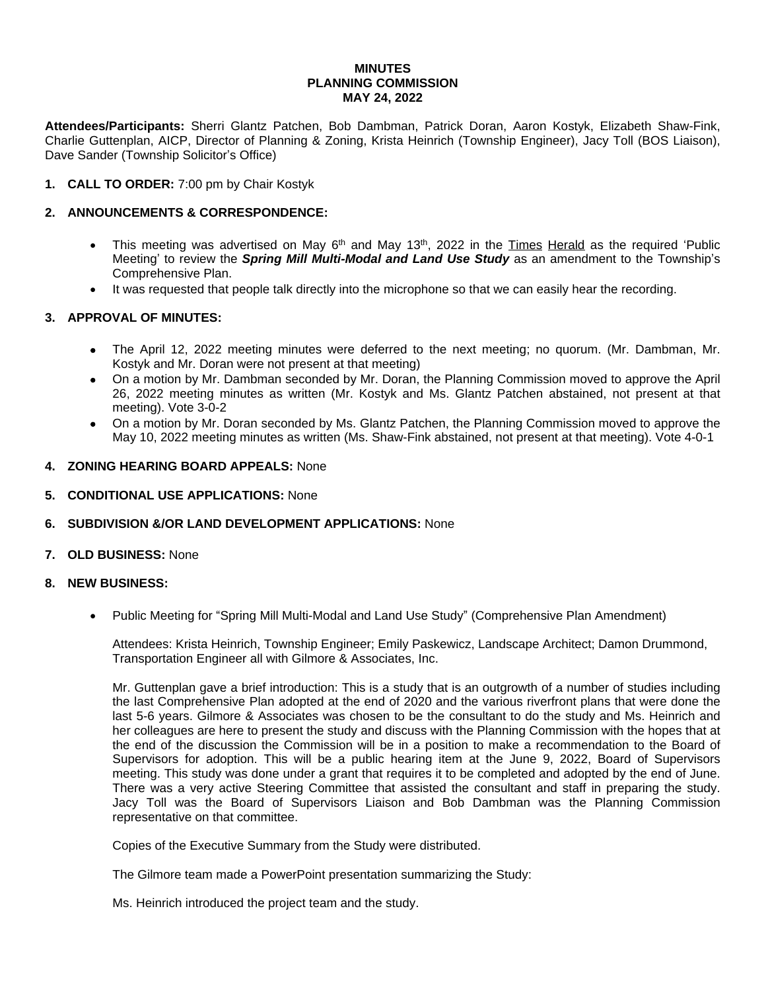#### **MINUTES PLANNING COMMISSION MAY 24, 2022**

**Attendees/Participants:** Sherri Glantz Patchen, Bob Dambman, Patrick Doran, Aaron Kostyk, Elizabeth Shaw-Fink, Charlie Guttenplan, AICP, Director of Planning & Zoning, Krista Heinrich (Township Engineer), Jacy Toll (BOS Liaison), Dave Sander (Township Solicitor's Office)

# **1. CALL TO ORDER:** 7:00 pm by Chair Kostyk

### **2. ANNOUNCEMENTS & CORRESPONDENCE:**

- This meeting was advertised on May 6<sup>th</sup> and May 13<sup>th</sup>, 2022 in the Times Herald as the required 'Public Meeting' to review the *Spring Mill Multi-Modal and Land Use Study* as an amendment to the Township's Comprehensive Plan.
- It was requested that people talk directly into the microphone so that we can easily hear the recording.

# **3. APPROVAL OF MINUTES:**

- The April 12, 2022 meeting minutes were deferred to the next meeting; no quorum. (Mr. Dambman, Mr. Kostyk and Mr. Doran were not present at that meeting)
- On a motion by Mr. Dambman seconded by Mr. Doran, the Planning Commission moved to approve the April 26, 2022 meeting minutes as written (Mr. Kostyk and Ms. Glantz Patchen abstained, not present at that meeting). Vote 3-0-2
- On a motion by Mr. Doran seconded by Ms. Glantz Patchen, the Planning Commission moved to approve the May 10, 2022 meeting minutes as written (Ms. Shaw-Fink abstained, not present at that meeting). Vote 4-0-1

### **4. ZONING HEARING BOARD APPEALS:** None

# **5. CONDITIONAL USE APPLICATIONS:** None

# **6. SUBDIVISION &/OR LAND DEVELOPMENT APPLICATIONS:** None

### **7. OLD BUSINESS:** None

#### **8. NEW BUSINESS:**

Public Meeting for "Spring Mill Multi-Modal and Land Use Study" (Comprehensive Plan Amendment)

Attendees: Krista Heinrich, Township Engineer; Emily Paskewicz, Landscape Architect; Damon Drummond, Transportation Engineer all with Gilmore & Associates, Inc.

Mr. Guttenplan gave a brief introduction: This is a study that is an outgrowth of a number of studies including the last Comprehensive Plan adopted at the end of 2020 and the various riverfront plans that were done the last 5-6 years. Gilmore & Associates was chosen to be the consultant to do the study and Ms. Heinrich and her colleagues are here to present the study and discuss with the Planning Commission with the hopes that at the end of the discussion the Commission will be in a position to make a recommendation to the Board of Supervisors for adoption. This will be a public hearing item at the June 9, 2022, Board of Supervisors meeting. This study was done under a grant that requires it to be completed and adopted by the end of June. There was a very active Steering Committee that assisted the consultant and staff in preparing the study. Jacy Toll was the Board of Supervisors Liaison and Bob Dambman was the Planning Commission representative on that committee.

Copies of the Executive Summary from the Study were distributed.

The Gilmore team made a PowerPoint presentation summarizing the Study:

Ms. Heinrich introduced the project team and the study.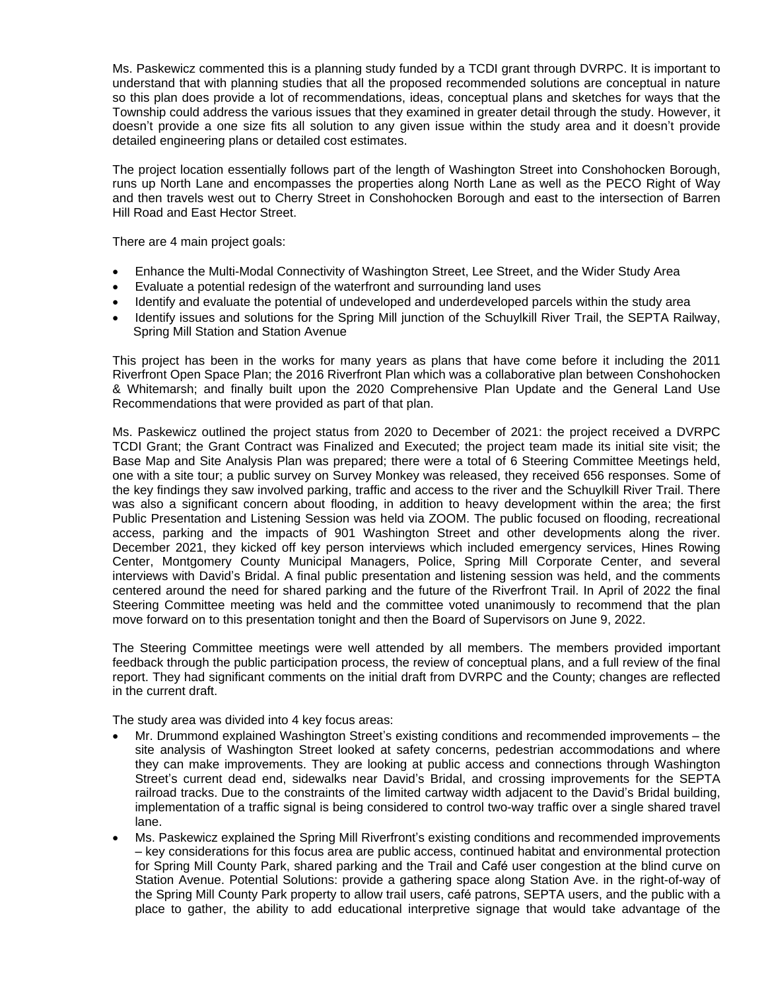Ms. Paskewicz commented this is a planning study funded by a TCDI grant through DVRPC. It is important to understand that with planning studies that all the proposed recommended solutions are conceptual in nature so this plan does provide a lot of recommendations, ideas, conceptual plans and sketches for ways that the Township could address the various issues that they examined in greater detail through the study. However, it doesn't provide a one size fits all solution to any given issue within the study area and it doesn't provide detailed engineering plans or detailed cost estimates.

The project location essentially follows part of the length of Washington Street into Conshohocken Borough, runs up North Lane and encompasses the properties along North Lane as well as the PECO Right of Way and then travels west out to Cherry Street in Conshohocken Borough and east to the intersection of Barren Hill Road and East Hector Street.

There are 4 main project goals:

- Enhance the Multi-Modal Connectivity of Washington Street, Lee Street, and the Wider Study Area
- Evaluate a potential redesign of the waterfront and surrounding land uses
- Identify and evaluate the potential of undeveloped and underdeveloped parcels within the study area
- Identify issues and solutions for the Spring Mill junction of the Schuylkill River Trail, the SEPTA Railway, Spring Mill Station and Station Avenue

This project has been in the works for many years as plans that have come before it including the 2011 Riverfront Open Space Plan; the 2016 Riverfront Plan which was a collaborative plan between Conshohocken & Whitemarsh; and finally built upon the 2020 Comprehensive Plan Update and the General Land Use Recommendations that were provided as part of that plan.

Ms. Paskewicz outlined the project status from 2020 to December of 2021: the project received a DVRPC TCDI Grant; the Grant Contract was Finalized and Executed; the project team made its initial site visit; the Base Map and Site Analysis Plan was prepared; there were a total of 6 Steering Committee Meetings held, one with a site tour; a public survey on Survey Monkey was released, they received 656 responses. Some of the key findings they saw involved parking, traffic and access to the river and the Schuylkill River Trail. There was also a significant concern about flooding, in addition to heavy development within the area; the first Public Presentation and Listening Session was held via ZOOM. The public focused on flooding, recreational access, parking and the impacts of 901 Washington Street and other developments along the river. December 2021, they kicked off key person interviews which included emergency services, Hines Rowing Center, Montgomery County Municipal Managers, Police, Spring Mill Corporate Center, and several interviews with David's Bridal. A final public presentation and listening session was held, and the comments centered around the need for shared parking and the future of the Riverfront Trail. In April of 2022 the final Steering Committee meeting was held and the committee voted unanimously to recommend that the plan move forward on to this presentation tonight and then the Board of Supervisors on June 9, 2022.

The Steering Committee meetings were well attended by all members. The members provided important feedback through the public participation process, the review of conceptual plans, and a full review of the final report. They had significant comments on the initial draft from DVRPC and the County; changes are reflected in the current draft.

The study area was divided into 4 key focus areas:

- Mr. Drummond explained Washington Street's existing conditions and recommended improvements the site analysis of Washington Street looked at safety concerns, pedestrian accommodations and where they can make improvements. They are looking at public access and connections through Washington Street's current dead end, sidewalks near David's Bridal, and crossing improvements for the SEPTA railroad tracks. Due to the constraints of the limited cartway width adjacent to the David's Bridal building, implementation of a traffic signal is being considered to control two-way traffic over a single shared travel lane.
- Ms. Paskewicz explained the Spring Mill Riverfront's existing conditions and recommended improvements – key considerations for this focus area are public access, continued habitat and environmental protection for Spring Mill County Park, shared parking and the Trail and Café user congestion at the blind curve on Station Avenue. Potential Solutions: provide a gathering space along Station Ave. in the right-of-way of the Spring Mill County Park property to allow trail users, café patrons, SEPTA users, and the public with a place to gather, the ability to add educational interpretive signage that would take advantage of the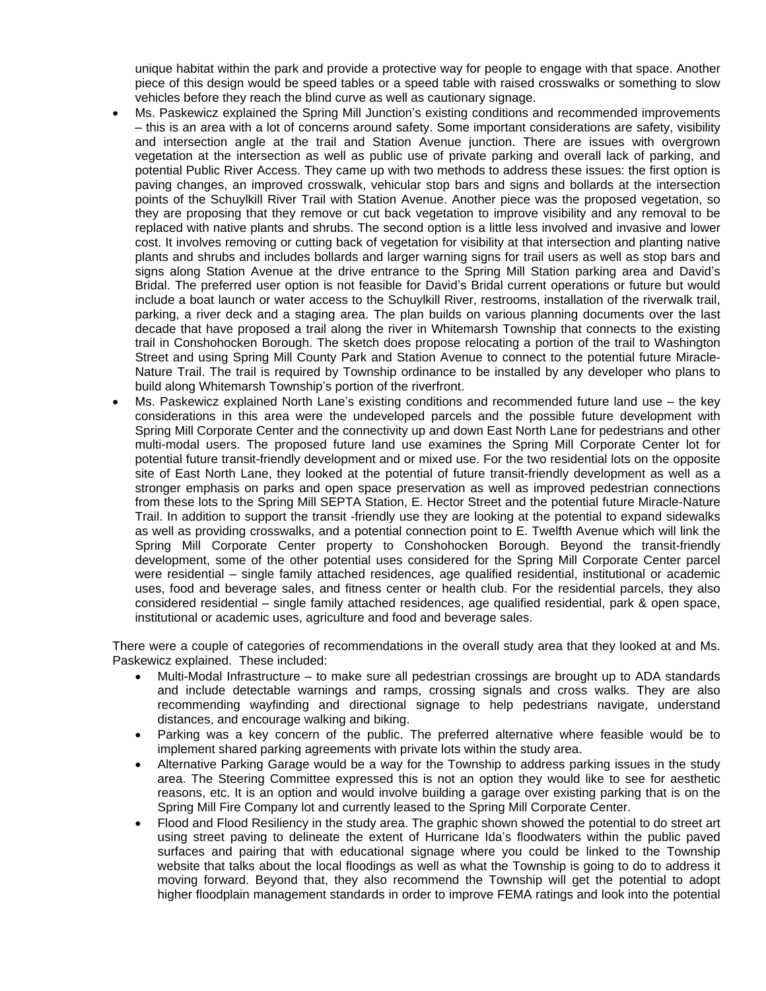unique habitat within the park and provide a protective way for people to engage with that space. Another piece of this design would be speed tables or a speed table with raised crosswalks or something to slow vehicles before they reach the blind curve as well as cautionary signage.

- Ms. Paskewicz explained the Spring Mill Junction's existing conditions and recommended improvements – this is an area with a lot of concerns around safety. Some important considerations are safety, visibility and intersection angle at the trail and Station Avenue junction. There are issues with overgrown vegetation at the intersection as well as public use of private parking and overall lack of parking, and potential Public River Access. They came up with two methods to address these issues: the first option is paving changes, an improved crosswalk, vehicular stop bars and signs and bollards at the intersection points of the Schuylkill River Trail with Station Avenue. Another piece was the proposed vegetation, so they are proposing that they remove or cut back vegetation to improve visibility and any removal to be replaced with native plants and shrubs. The second option is a little less involved and invasive and lower cost. It involves removing or cutting back of vegetation for visibility at that intersection and planting native plants and shrubs and includes bollards and larger warning signs for trail users as well as stop bars and signs along Station Avenue at the drive entrance to the Spring Mill Station parking area and David's Bridal. The preferred user option is not feasible for David's Bridal current operations or future but would include a boat launch or water access to the Schuylkill River, restrooms, installation of the riverwalk trail, parking, a river deck and a staging area. The plan builds on various planning documents over the last decade that have proposed a trail along the river in Whitemarsh Township that connects to the existing trail in Conshohocken Borough. The sketch does propose relocating a portion of the trail to Washington Street and using Spring Mill County Park and Station Avenue to connect to the potential future Miracle-Nature Trail. The trail is required by Township ordinance to be installed by any developer who plans to build along Whitemarsh Township's portion of the riverfront.
- Ms. Paskewicz explained North Lane's existing conditions and recommended future land use the key considerations in this area were the undeveloped parcels and the possible future development with Spring Mill Corporate Center and the connectivity up and down East North Lane for pedestrians and other multi-modal users. The proposed future land use examines the Spring Mill Corporate Center lot for potential future transit-friendly development and or mixed use. For the two residential lots on the opposite site of East North Lane, they looked at the potential of future transit-friendly development as well as a stronger emphasis on parks and open space preservation as well as improved pedestrian connections from these lots to the Spring Mill SEPTA Station, E. Hector Street and the potential future Miracle-Nature Trail. In addition to support the transit -friendly use they are looking at the potential to expand sidewalks as well as providing crosswalks, and a potential connection point to E. Twelfth Avenue which will link the Spring Mill Corporate Center property to Conshohocken Borough. Beyond the transit-friendly development, some of the other potential uses considered for the Spring Mill Corporate Center parcel were residential – single family attached residences, age qualified residential, institutional or academic uses, food and beverage sales, and fitness center or health club. For the residential parcels, they also considered residential – single family attached residences, age qualified residential, park & open space, institutional or academic uses, agriculture and food and beverage sales.

There were a couple of categories of recommendations in the overall study area that they looked at and Ms. Paskewicz explained. These included:

- Multi-Modal Infrastructure to make sure all pedestrian crossings are brought up to ADA standards and include detectable warnings and ramps, crossing signals and cross walks. They are also recommending wayfinding and directional signage to help pedestrians navigate, understand distances, and encourage walking and biking.
- Parking was a key concern of the public. The preferred alternative where feasible would be to implement shared parking agreements with private lots within the study area.
- Alternative Parking Garage would be a way for the Township to address parking issues in the study area. The Steering Committee expressed this is not an option they would like to see for aesthetic reasons, etc. It is an option and would involve building a garage over existing parking that is on the Spring Mill Fire Company lot and currently leased to the Spring Mill Corporate Center.
- Flood and Flood Resiliency in the study area. The graphic shown showed the potential to do street art using street paving to delineate the extent of Hurricane Ida's floodwaters within the public paved surfaces and pairing that with educational signage where you could be linked to the Township website that talks about the local floodings as well as what the Township is going to do to address it moving forward. Beyond that, they also recommend the Township will get the potential to adopt higher floodplain management standards in order to improve FEMA ratings and look into the potential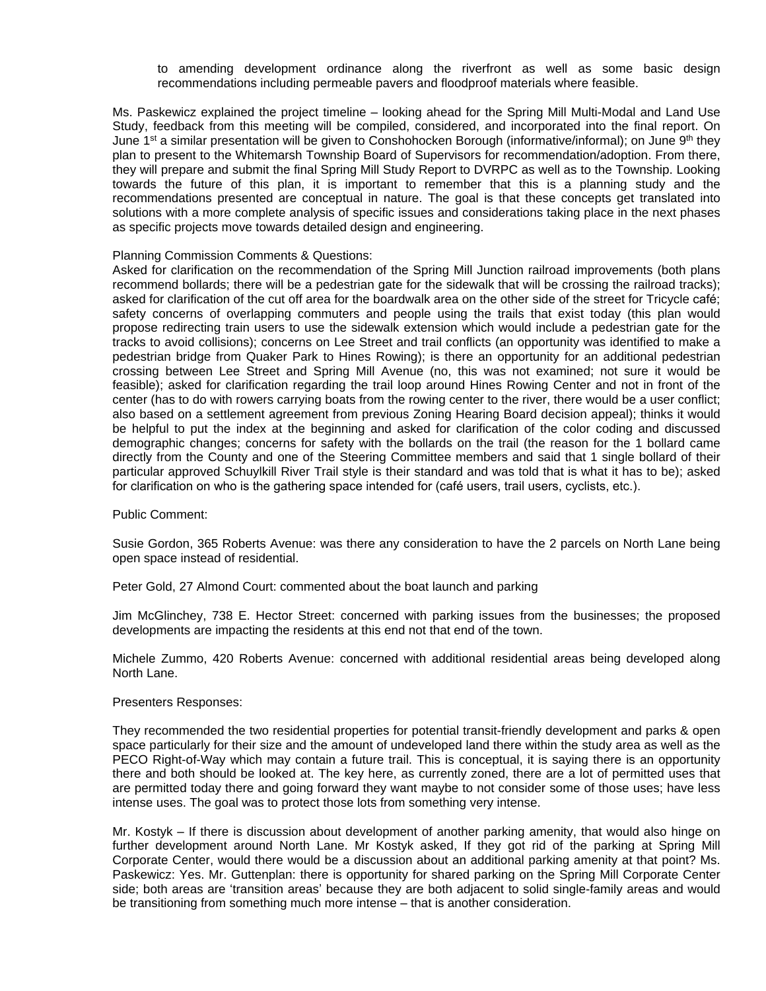to amending development ordinance along the riverfront as well as some basic design recommendations including permeable pavers and floodproof materials where feasible.

Ms. Paskewicz explained the project timeline – looking ahead for the Spring Mill Multi-Modal and Land Use Study, feedback from this meeting will be compiled, considered, and incorporated into the final report. On June 1st a similar presentation will be given to Conshohocken Borough (informative/informal); on June 9<sup>th</sup> they plan to present to the Whitemarsh Township Board of Supervisors for recommendation/adoption. From there, they will prepare and submit the final Spring Mill Study Report to DVRPC as well as to the Township. Looking towards the future of this plan, it is important to remember that this is a planning study and the recommendations presented are conceptual in nature. The goal is that these concepts get translated into solutions with a more complete analysis of specific issues and considerations taking place in the next phases as specific projects move towards detailed design and engineering.

#### Planning Commission Comments & Questions:

Asked for clarification on the recommendation of the Spring Mill Junction railroad improvements (both plans recommend bollards; there will be a pedestrian gate for the sidewalk that will be crossing the railroad tracks); asked for clarification of the cut off area for the boardwalk area on the other side of the street for Tricycle café; safety concerns of overlapping commuters and people using the trails that exist today (this plan would propose redirecting train users to use the sidewalk extension which would include a pedestrian gate for the tracks to avoid collisions); concerns on Lee Street and trail conflicts (an opportunity was identified to make a pedestrian bridge from Quaker Park to Hines Rowing); is there an opportunity for an additional pedestrian crossing between Lee Street and Spring Mill Avenue (no, this was not examined; not sure it would be feasible); asked for clarification regarding the trail loop around Hines Rowing Center and not in front of the center (has to do with rowers carrying boats from the rowing center to the river, there would be a user conflict; also based on a settlement agreement from previous Zoning Hearing Board decision appeal); thinks it would be helpful to put the index at the beginning and asked for clarification of the color coding and discussed demographic changes; concerns for safety with the bollards on the trail (the reason for the 1 bollard came directly from the County and one of the Steering Committee members and said that 1 single bollard of their particular approved Schuylkill River Trail style is their standard and was told that is what it has to be); asked for clarification on who is the gathering space intended for (café users, trail users, cyclists, etc.).

Public Comment:

Susie Gordon, 365 Roberts Avenue: was there any consideration to have the 2 parcels on North Lane being open space instead of residential.

Peter Gold, 27 Almond Court: commented about the boat launch and parking

Jim McGlinchey, 738 E. Hector Street: concerned with parking issues from the businesses; the proposed developments are impacting the residents at this end not that end of the town.

Michele Zummo, 420 Roberts Avenue: concerned with additional residential areas being developed along North Lane.

#### Presenters Responses:

They recommended the two residential properties for potential transit-friendly development and parks & open space particularly for their size and the amount of undeveloped land there within the study area as well as the PECO Right-of-Way which may contain a future trail. This is conceptual, it is saying there is an opportunity there and both should be looked at. The key here, as currently zoned, there are a lot of permitted uses that are permitted today there and going forward they want maybe to not consider some of those uses; have less intense uses. The goal was to protect those lots from something very intense.

Mr. Kostyk – If there is discussion about development of another parking amenity, that would also hinge on further development around North Lane. Mr Kostyk asked, If they got rid of the parking at Spring Mill Corporate Center, would there would be a discussion about an additional parking amenity at that point? Ms. Paskewicz: Yes. Mr. Guttenplan: there is opportunity for shared parking on the Spring Mill Corporate Center side; both areas are 'transition areas' because they are both adjacent to solid single-family areas and would be transitioning from something much more intense – that is another consideration.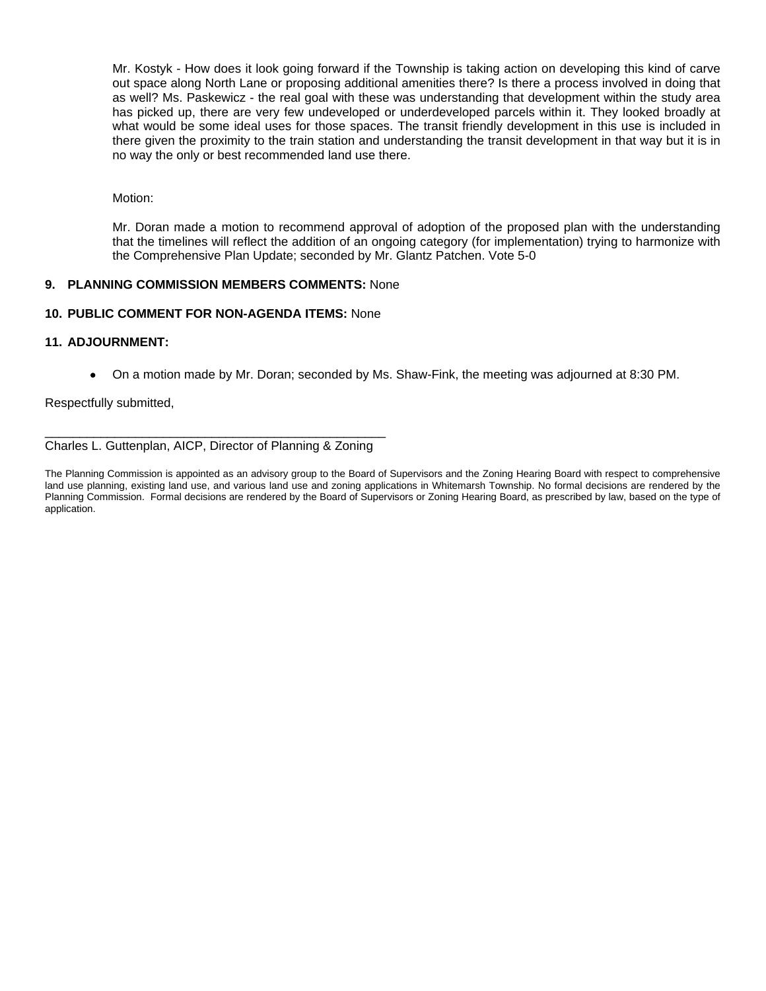Mr. Kostyk - How does it look going forward if the Township is taking action on developing this kind of carve out space along North Lane or proposing additional amenities there? Is there a process involved in doing that as well? Ms. Paskewicz - the real goal with these was understanding that development within the study area has picked up, there are very few undeveloped or underdeveloped parcels within it. They looked broadly at what would be some ideal uses for those spaces. The transit friendly development in this use is included in there given the proximity to the train station and understanding the transit development in that way but it is in no way the only or best recommended land use there.

Motion:

Mr. Doran made a motion to recommend approval of adoption of the proposed plan with the understanding that the timelines will reflect the addition of an ongoing category (for implementation) trying to harmonize with the Comprehensive Plan Update; seconded by Mr. Glantz Patchen. Vote 5-0

# **9. PLANNING COMMISSION MEMBERS COMMENTS:** None

# **10. PUBLIC COMMENT FOR NON-AGENDA ITEMS:** None

# **11. ADJOURNMENT:**

On a motion made by Mr. Doran; seconded by Ms. Shaw-Fink, the meeting was adjourned at 8:30 PM.

Respectfully submitted,

\_\_\_\_\_\_\_\_\_\_\_\_\_\_\_\_\_\_\_\_\_\_\_\_\_\_\_\_\_\_\_\_\_\_\_\_\_\_\_\_\_\_\_\_\_\_\_\_\_ Charles L. Guttenplan, AICP, Director of Planning & Zoning

The Planning Commission is appointed as an advisory group to the Board of Supervisors and the Zoning Hearing Board with respect to comprehensive land use planning, existing land use, and various land use and zoning applications in Whitemarsh Township. No formal decisions are rendered by the Planning Commission. Formal decisions are rendered by the Board of Supervisors or Zoning Hearing Board, as prescribed by law, based on the type of application.